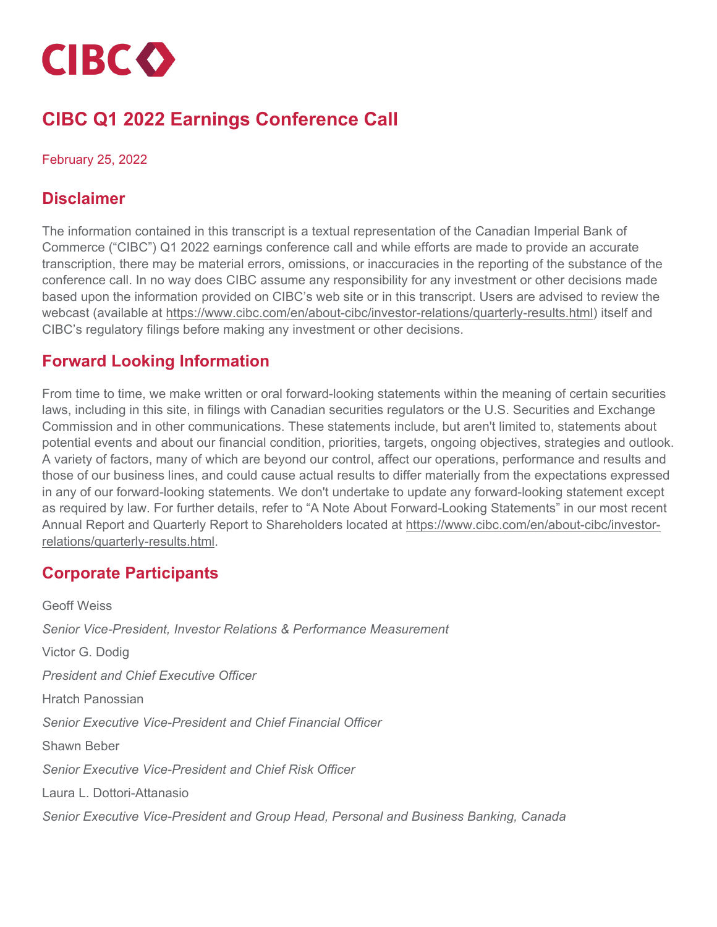

# **CIBC Q1 2022 Earnings Conference Call**

#### February 25, 2022

## **Disclaimer**

The information contained in this transcript is a textual representation of the Canadian Imperial Bank of Commerce ("CIBC") Q1 2022 earnings conference call and while efforts are made to provide an accurate transcription, there may be material errors, omissions, or inaccuracies in the reporting of the substance of the conference call. In no way does CIBC assume any responsibility for any investment or other decisions made based upon the information provided on CIBC's web site or in this transcript. Users are advised to review the webcast (available at [https://www.cibc.com/en/about-cibc/investor-relations/quarterly-results.html\)](https://www.cibc.com/en/about-cibc/investor-relations/quarterly-results.html) itself and CIBC's regulatory filings before making any investment or other decisions.

## **Forward Looking Information**

From time to time, we make written or oral forward-looking statements within the meaning of certain securities laws, including in this site, in filings with Canadian securities regulators or the U.S. Securities and Exchange Commission and in other communications. These statements include, but aren't limited to, statements about potential events and about our financial condition, priorities, targets, ongoing objectives, strategies and outlook. A variety of factors, many of which are beyond our control, affect our operations, performance and results and those of our business lines, and could cause actual results to differ materially from the expectations expressed in any of our forward-looking statements. We don't undertake to update any forward-looking statement except as required by law. For further details, refer to "A Note About Forward-Looking Statements" in our most recent Annual Report and Quarterly Report to Shareholders located at [https://www.cibc.com/en/about-cibc/investor](https://www.cibc.com/en/about-cibc/investor-relations/quarterly-results.html)[relations/quarterly-results.html.](https://www.cibc.com/en/about-cibc/investor-relations/quarterly-results.html)

## **Corporate Participants**

Geoff Weiss *Senior Vice-President, Investor Relations & Performance Measurement* Victor G. Dodig *President and Chief Executive Officer* Hratch Panossian *Senior Executive Vice-President and Chief Financial Officer* Shawn Beber *Senior Executive Vice-President and Chief Risk Officer* Laura L. Dottori-Attanasio *Senior Executive Vice-President and Group Head, Personal and Business Banking, Canada*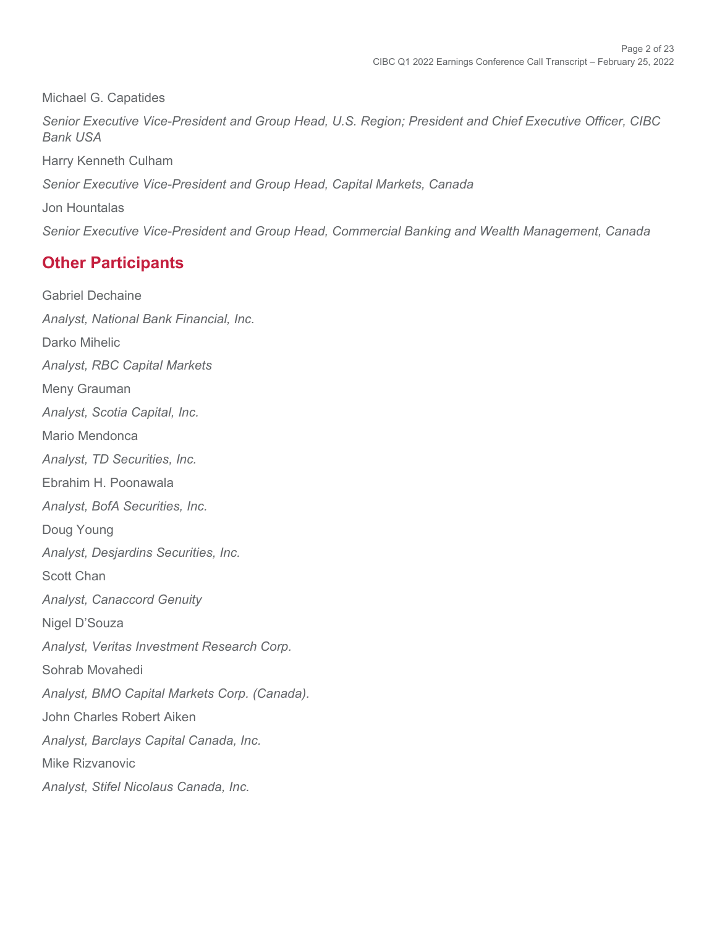Michael G. Capatides *Senior Executive Vice-President and Group Head, U.S. Region; President and Chief Executive Officer, CIBC Bank USA* Harry Kenneth Culham *Senior Executive Vice-President and Group Head, Capital Markets, Canada*  Jon Hountalas *Senior Executive Vice-President and Group Head, Commercial Banking and Wealth Management, Canada* 

## **Other Participants**

Gabriel Dechaine *Analyst, National Bank Financial, Inc.* Darko Mihelic *Analyst, RBC Capital Markets* Meny Grauman *Analyst, Scotia Capital, Inc.* Mario Mendonca *Analyst, TD Securities, Inc.* Ebrahim H. Poonawala *Analyst, BofA Securities, Inc.* Doug Young *Analyst, Desjardins Securities, Inc.* Scott Chan *Analyst, Canaccord Genuity* Nigel D'Souza *Analyst, Veritas Investment Research Corp.* Sohrab Movahedi *Analyst, BMO Capital Markets Corp. (Canada).* John Charles Robert Aiken *Analyst, Barclays Capital Canada, Inc.* Mike Rizvanovic *Analyst, Stifel Nicolaus Canada, Inc.*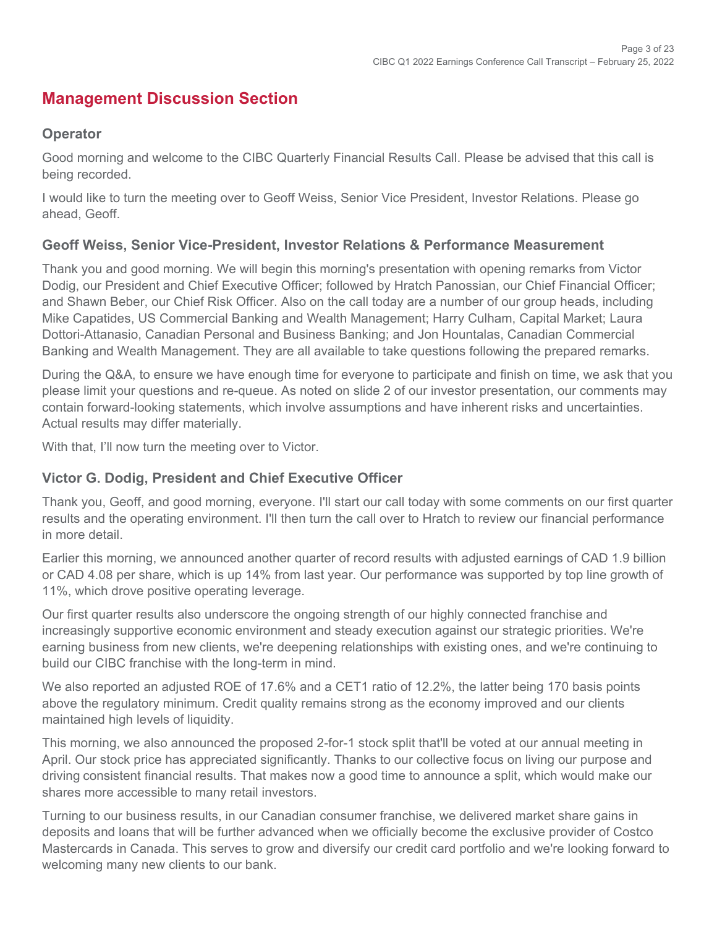## **Management Discussion Section**

#### **Operator**

Good morning and welcome to the CIBC Quarterly Financial Results Call. Please be advised that this call is being recorded.

I would like to turn the meeting over to Geoff Weiss, Senior Vice President, Investor Relations. Please go ahead, Geoff.

#### **Geoff Weiss, Senior Vice-President, Investor Relations & Performance Measurement**

Thank you and good morning. We will begin this morning's presentation with opening remarks from Victor Dodig, our President and Chief Executive Officer; followed by Hratch Panossian, our Chief Financial Officer; and Shawn Beber, our Chief Risk Officer. Also on the call today are a number of our group heads, including Mike Capatides, US Commercial Banking and Wealth Management; Harry Culham, Capital Market; Laura Dottori-Attanasio, Canadian Personal and Business Banking; and Jon Hountalas, Canadian Commercial Banking and Wealth Management. They are all available to take questions following the prepared remarks.

During the Q&A, to ensure we have enough time for everyone to participate and finish on time, we ask that you please limit your questions and re-queue. As noted on slide 2 of our investor presentation, our comments may contain forward-looking statements, which involve assumptions and have inherent risks and uncertainties. Actual results may differ materially.

With that, I'll now turn the meeting over to Victor.

#### **Victor G. Dodig, President and Chief Executive Officer**

Thank you, Geoff, and good morning, everyone. I'll start our call today with some comments on our first quarter results and the operating environment. I'll then turn the call over to Hratch to review our financial performance in more detail.

Earlier this morning, we announced another quarter of record results with adjusted earnings of CAD 1.9 billion or CAD 4.08 per share, which is up 14% from last year. Our performance was supported by top line growth of 11%, which drove positive operating leverage.

Our first quarter results also underscore the ongoing strength of our highly connected franchise and increasingly supportive economic environment and steady execution against our strategic priorities. We're earning business from new clients, we're deepening relationships with existing ones, and we're continuing to build our CIBC franchise with the long-term in mind.

We also reported an adjusted ROE of 17.6% and a CET1 ratio of 12.2%, the latter being 170 basis points above the regulatory minimum. Credit quality remains strong as the economy improved and our clients maintained high levels of liquidity.

This morning, we also announced the proposed 2-for-1 stock split that'll be voted at our annual meeting in April. Our stock price has appreciated significantly. Thanks to our collective focus on living our purpose and driving consistent financial results. That makes now a good time to announce a split, which would make our shares more accessible to many retail investors.

Turning to our business results, in our Canadian consumer franchise, we delivered market share gains in deposits and loans that will be further advanced when we officially become the exclusive provider of Costco Mastercards in Canada. This serves to grow and diversify our credit card portfolio and we're looking forward to welcoming many new clients to our bank.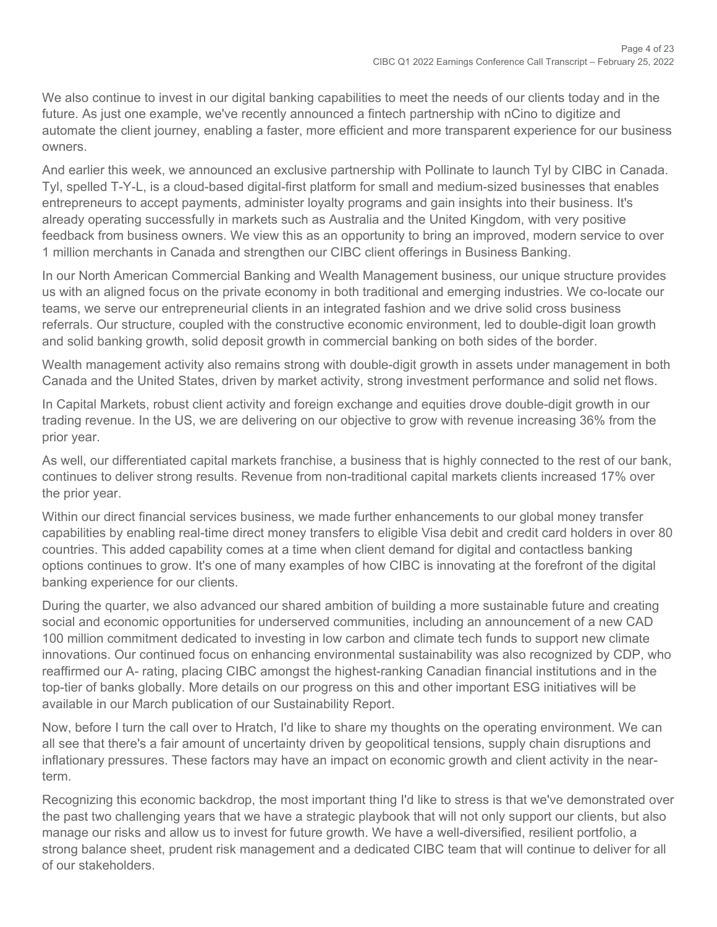We also continue to invest in our digital banking capabilities to meet the needs of our clients today and in the future. As just one example, we've recently announced a fintech partnership with nCino to digitize and automate the client journey, enabling a faster, more efficient and more transparent experience for our business owners.

And earlier this week, we announced an exclusive partnership with Pollinate to launch Tyl by CIBC in Canada. Tyl, spelled T-Y-L, is a cloud-based digital-first platform for small and medium-sized businesses that enables entrepreneurs to accept payments, administer loyalty programs and gain insights into their business. It's already operating successfully in markets such as Australia and the United Kingdom, with very positive feedback from business owners. We view this as an opportunity to bring an improved, modern service to over 1 million merchants in Canada and strengthen our CIBC client offerings in Business Banking.

In our North American Commercial Banking and Wealth Management business, our unique structure provides us with an aligned focus on the private economy in both traditional and emerging industries. We co-locate our teams, we serve our entrepreneurial clients in an integrated fashion and we drive solid cross business referrals. Our structure, coupled with the constructive economic environment, led to double-digit loan growth and solid banking growth, solid deposit growth in commercial banking on both sides of the border.

Wealth management activity also remains strong with double-digit growth in assets under management in both Canada and the United States, driven by market activity, strong investment performance and solid net flows.

In Capital Markets, robust client activity and foreign exchange and equities drove double-digit growth in our trading revenue. In the US, we are delivering on our objective to grow with revenue increasing 36% from the prior year.

As well, our differentiated capital markets franchise, a business that is highly connected to the rest of our bank, continues to deliver strong results. Revenue from non-traditional capital markets clients increased 17% over the prior year.

Within our direct financial services business, we made further enhancements to our global money transfer capabilities by enabling real-time direct money transfers to eligible Visa debit and credit card holders in over 80 countries. This added capability comes at a time when client demand for digital and contactless banking options continues to grow. It's one of many examples of how CIBC is innovating at the forefront of the digital banking experience for our clients.

During the quarter, we also advanced our shared ambition of building a more sustainable future and creating social and economic opportunities for underserved communities, including an announcement of a new CAD 100 million commitment dedicated to investing in low carbon and climate tech funds to support new climate innovations. Our continued focus on enhancing environmental sustainability was also recognized by CDP, who reaffirmed our A- rating, placing CIBC amongst the highest-ranking Canadian financial institutions and in the top-tier of banks globally. More details on our progress on this and other important ESG initiatives will be available in our March publication of our Sustainability Report.

Now, before I turn the call over to Hratch, I'd like to share my thoughts on the operating environment. We can all see that there's a fair amount of uncertainty driven by geopolitical tensions, supply chain disruptions and inflationary pressures. These factors may have an impact on economic growth and client activity in the nearterm.

Recognizing this economic backdrop, the most important thing I'd like to stress is that we've demonstrated over the past two challenging years that we have a strategic playbook that will not only support our clients, but also manage our risks and allow us to invest for future growth. We have a well-diversified, resilient portfolio, a strong balance sheet, prudent risk management and a dedicated CIBC team that will continue to deliver for all of our stakeholders.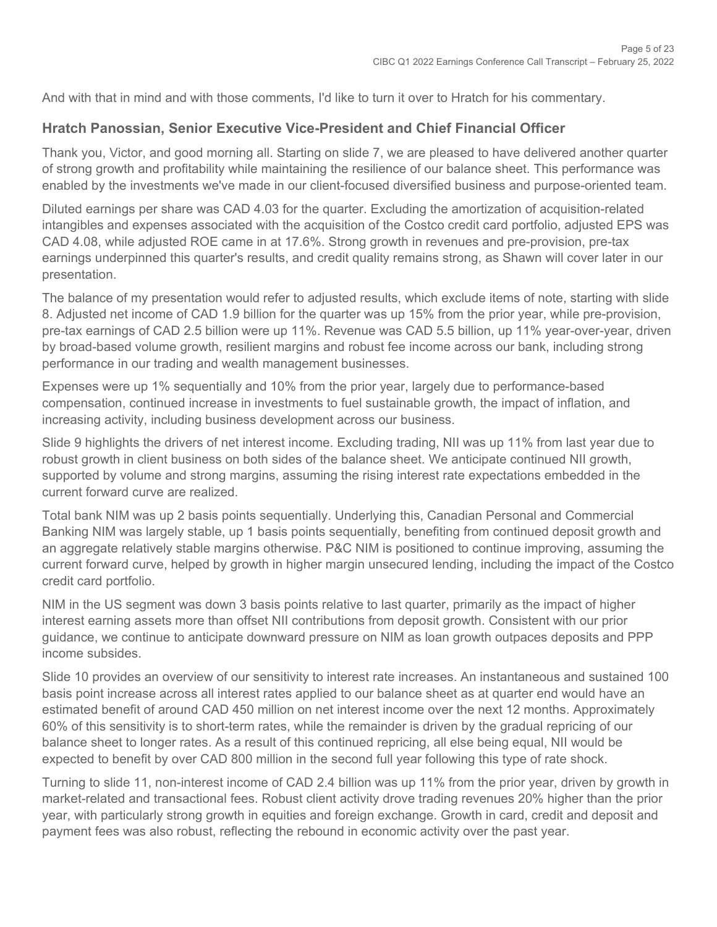And with that in mind and with those comments, I'd like to turn it over to Hratch for his commentary.

#### **Hratch Panossian, Senior Executive Vice-President and Chief Financial Officer**

Thank you, Victor, and good morning all. Starting on slide 7, we are pleased to have delivered another quarter of strong growth and profitability while maintaining the resilience of our balance sheet. This performance was enabled by the investments we've made in our client-focused diversified business and purpose-oriented team.

Diluted earnings per share was CAD 4.03 for the quarter. Excluding the amortization of acquisition-related intangibles and expenses associated with the acquisition of the Costco credit card portfolio, adjusted EPS was CAD 4.08, while adjusted ROE came in at 17.6%. Strong growth in revenues and pre-provision, pre-tax earnings underpinned this quarter's results, and credit quality remains strong, as Shawn will cover later in our presentation.

The balance of my presentation would refer to adjusted results, which exclude items of note, starting with slide 8. Adjusted net income of CAD 1.9 billion for the quarter was up 15% from the prior year, while pre-provision, pre-tax earnings of CAD 2.5 billion were up 11%. Revenue was CAD 5.5 billion, up 11% year-over-year, driven by broad-based volume growth, resilient margins and robust fee income across our bank, including strong performance in our trading and wealth management businesses.

Expenses were up 1% sequentially and 10% from the prior year, largely due to performance-based compensation, continued increase in investments to fuel sustainable growth, the impact of inflation, and increasing activity, including business development across our business.

Slide 9 highlights the drivers of net interest income. Excluding trading, NII was up 11% from last year due to robust growth in client business on both sides of the balance sheet. We anticipate continued NII growth, supported by volume and strong margins, assuming the rising interest rate expectations embedded in the current forward curve are realized.

Total bank NIM was up 2 basis points sequentially. Underlying this, Canadian Personal and Commercial Banking NIM was largely stable, up 1 basis points sequentially, benefiting from continued deposit growth and an aggregate relatively stable margins otherwise. P&C NIM is positioned to continue improving, assuming the current forward curve, helped by growth in higher margin unsecured lending, including the impact of the Costco credit card portfolio.

NIM in the US segment was down 3 basis points relative to last quarter, primarily as the impact of higher interest earning assets more than offset NII contributions from deposit growth. Consistent with our prior guidance, we continue to anticipate downward pressure on NIM as loan growth outpaces deposits and PPP income subsides.

Slide 10 provides an overview of our sensitivity to interest rate increases. An instantaneous and sustained 100 basis point increase across all interest rates applied to our balance sheet as at quarter end would have an estimated benefit of around CAD 450 million on net interest income over the next 12 months. Approximately 60% of this sensitivity is to short-term rates, while the remainder is driven by the gradual repricing of our balance sheet to longer rates. As a result of this continued repricing, all else being equal, NII would be expected to benefit by over CAD 800 million in the second full year following this type of rate shock.

Turning to slide 11, non-interest income of CAD 2.4 billion was up 11% from the prior year, driven by growth in market-related and transactional fees. Robust client activity drove trading revenues 20% higher than the prior year, with particularly strong growth in equities and foreign exchange. Growth in card, credit and deposit and payment fees was also robust, reflecting the rebound in economic activity over the past year.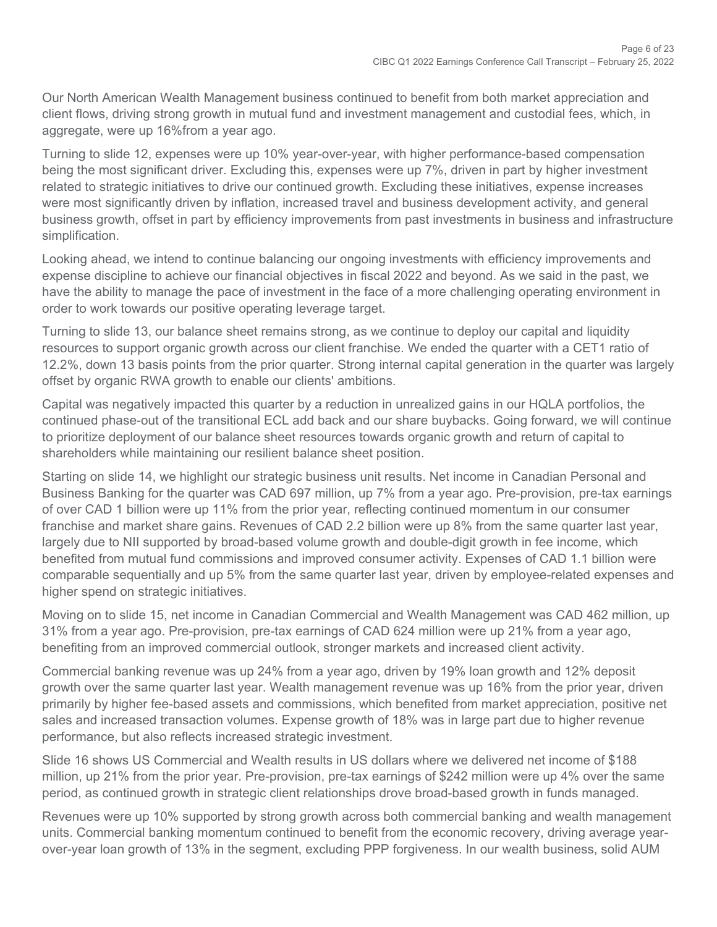Our North American Wealth Management business continued to benefit from both market appreciation and client flows, driving strong growth in mutual fund and investment management and custodial fees, which, in aggregate, were up 16%from a year ago.

Turning to slide 12, expenses were up 10% year-over-year, with higher performance-based compensation being the most significant driver. Excluding this, expenses were up 7%, driven in part by higher investment related to strategic initiatives to drive our continued growth. Excluding these initiatives, expense increases were most significantly driven by inflation, increased travel and business development activity, and general business growth, offset in part by efficiency improvements from past investments in business and infrastructure simplification.

Looking ahead, we intend to continue balancing our ongoing investments with efficiency improvements and expense discipline to achieve our financial objectives in fiscal 2022 and beyond. As we said in the past, we have the ability to manage the pace of investment in the face of a more challenging operating environment in order to work towards our positive operating leverage target.

Turning to slide 13, our balance sheet remains strong, as we continue to deploy our capital and liquidity resources to support organic growth across our client franchise. We ended the quarter with a CET1 ratio of 12.2%, down 13 basis points from the prior quarter. Strong internal capital generation in the quarter was largely offset by organic RWA growth to enable our clients' ambitions.

Capital was negatively impacted this quarter by a reduction in unrealized gains in our HQLA portfolios, the continued phase-out of the transitional ECL add back and our share buybacks. Going forward, we will continue to prioritize deployment of our balance sheet resources towards organic growth and return of capital to shareholders while maintaining our resilient balance sheet position.

Starting on slide 14, we highlight our strategic business unit results. Net income in Canadian Personal and Business Banking for the quarter was CAD 697 million, up 7% from a year ago. Pre-provision, pre-tax earnings of over CAD 1 billion were up 11% from the prior year, reflecting continued momentum in our consumer franchise and market share gains. Revenues of CAD 2.2 billion were up 8% from the same quarter last year, largely due to NII supported by broad-based volume growth and double-digit growth in fee income, which benefited from mutual fund commissions and improved consumer activity. Expenses of CAD 1.1 billion were comparable sequentially and up 5% from the same quarter last year, driven by employee-related expenses and higher spend on strategic initiatives.

Moving on to slide 15, net income in Canadian Commercial and Wealth Management was CAD 462 million, up 31% from a year ago. Pre-provision, pre-tax earnings of CAD 624 million were up 21% from a year ago, benefiting from an improved commercial outlook, stronger markets and increased client activity.

Commercial banking revenue was up 24% from a year ago, driven by 19% loan growth and 12% deposit growth over the same quarter last year. Wealth management revenue was up 16% from the prior year, driven primarily by higher fee-based assets and commissions, which benefited from market appreciation, positive net sales and increased transaction volumes. Expense growth of 18% was in large part due to higher revenue performance, but also reflects increased strategic investment.

Slide 16 shows US Commercial and Wealth results in US dollars where we delivered net income of \$188 million, up 21% from the prior year. Pre-provision, pre-tax earnings of \$242 million were up 4% over the same period, as continued growth in strategic client relationships drove broad-based growth in funds managed.

Revenues were up 10% supported by strong growth across both commercial banking and wealth management units. Commercial banking momentum continued to benefit from the economic recovery, driving average yearover-year loan growth of 13% in the segment, excluding PPP forgiveness. In our wealth business, solid AUM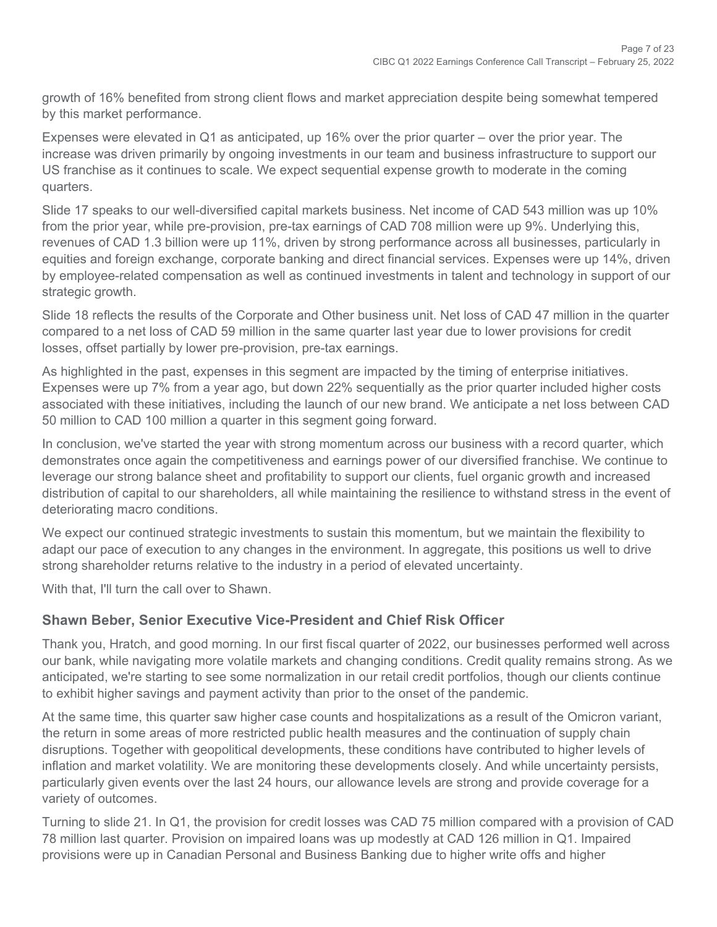growth of 16% benefited from strong client flows and market appreciation despite being somewhat tempered by this market performance.

Expenses were elevated in Q1 as anticipated, up 16% over the prior quarter – over the prior year. The increase was driven primarily by ongoing investments in our team and business infrastructure to support our US franchise as it continues to scale. We expect sequential expense growth to moderate in the coming quarters.

Slide 17 speaks to our well-diversified capital markets business. Net income of CAD 543 million was up 10% from the prior year, while pre-provision, pre-tax earnings of CAD 708 million were up 9%. Underlying this, revenues of CAD 1.3 billion were up 11%, driven by strong performance across all businesses, particularly in equities and foreign exchange, corporate banking and direct financial services. Expenses were up 14%, driven by employee-related compensation as well as continued investments in talent and technology in support of our strategic growth.

Slide 18 reflects the results of the Corporate and Other business unit. Net loss of CAD 47 million in the quarter compared to a net loss of CAD 59 million in the same quarter last year due to lower provisions for credit losses, offset partially by lower pre-provision, pre-tax earnings.

As highlighted in the past, expenses in this segment are impacted by the timing of enterprise initiatives. Expenses were up 7% from a year ago, but down 22% sequentially as the prior quarter included higher costs associated with these initiatives, including the launch of our new brand. We anticipate a net loss between CAD 50 million to CAD 100 million a quarter in this segment going forward.

In conclusion, we've started the year with strong momentum across our business with a record quarter, which demonstrates once again the competitiveness and earnings power of our diversified franchise. We continue to leverage our strong balance sheet and profitability to support our clients, fuel organic growth and increased distribution of capital to our shareholders, all while maintaining the resilience to withstand stress in the event of deteriorating macro conditions.

We expect our continued strategic investments to sustain this momentum, but we maintain the flexibility to adapt our pace of execution to any changes in the environment. In aggregate, this positions us well to drive strong shareholder returns relative to the industry in a period of elevated uncertainty.

With that, I'll turn the call over to Shawn.

#### **Shawn Beber, Senior Executive Vice-President and Chief Risk Officer**

Thank you, Hratch, and good morning. In our first fiscal quarter of 2022, our businesses performed well across our bank, while navigating more volatile markets and changing conditions. Credit quality remains strong. As we anticipated, we're starting to see some normalization in our retail credit portfolios, though our clients continue to exhibit higher savings and payment activity than prior to the onset of the pandemic.

At the same time, this quarter saw higher case counts and hospitalizations as a result of the Omicron variant, the return in some areas of more restricted public health measures and the continuation of supply chain disruptions. Together with geopolitical developments, these conditions have contributed to higher levels of inflation and market volatility. We are monitoring these developments closely. And while uncertainty persists, particularly given events over the last 24 hours, our allowance levels are strong and provide coverage for a variety of outcomes.

Turning to slide 21. In Q1, the provision for credit losses was CAD 75 million compared with a provision of CAD 78 million last quarter. Provision on impaired loans was up modestly at CAD 126 million in Q1. Impaired provisions were up in Canadian Personal and Business Banking due to higher write offs and higher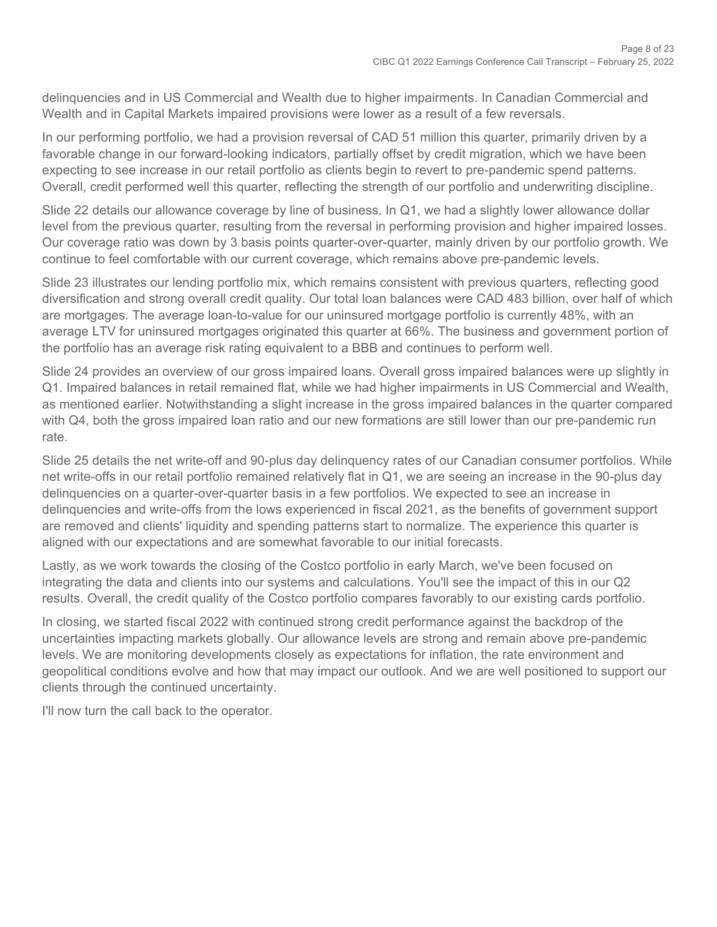delinquencies and in US Commercial and Wealth due to higher impairments. In Canadian Commercial and Wealth and in Capital Markets impaired provisions were lower as a result of a few reversals.

In our performing portfolio, we had a provision reversal of CAD 51 million this quarter, primarily driven by a favorable change in our forward-looking indicators, partially offset by credit migration, which we have been expecting to see increase in our retail portfolio as clients begin to revert to pre-pandemic spend patterns. Overall, credit performed well this quarter, reflecting the strength of our portfolio and underwriting discipline.

Slide 22 details our allowance coverage by line of business. In Q1, we had a slightly lower allowance dollar level from the previous quarter, resulting from the reversal in performing provision and higher impaired losses. Our coverage ratio was down by 3 basis points quarter-over-quarter, mainly driven by our portfolio growth. We continue to feel comfortable with our current coverage, which remains above pre-pandemic levels.

Slide 23 illustrates our lending portfolio mix, which remains consistent with previous quarters, reflecting good diversification and strong overall credit quality. Our total loan balances were CAD 483 billion, over half of which are mortgages. The average loan-to-value for our uninsured mortgage portfolio is currently 48%, with an average LTV for uninsured mortgages originated this quarter at 66%. The business and government portion of the portfolio has an average risk rating equivalent to a BBB and continues to perform well.

Slide 24 provides an overview of our gross impaired loans. Overall gross impaired balances were up slightly in Q1. Impaired balances in retail remained flat, while we had higher impairments in US Commercial and Wealth, as mentioned earlier. Notwithstanding a slight increase in the gross impaired balances in the quarter compared with Q4, both the gross impaired loan ratio and our new formations are still lower than our pre-pandemic run rate.

Slide 25 details the net write-off and 90-plus day delinquency rates of our Canadian consumer portfolios. While net write-offs in our retail portfolio remained relatively flat in Q1, we are seeing an increase in the 90-plus day delinquencies on a quarter-over-quarter basis in a few portfolios. We expected to see an increase in delinquencies and write-offs from the lows experienced in fiscal 2021, as the benefits of government support are removed and clients' liquidity and spending patterns start to normalize. The experience this quarter is aligned with our expectations and are somewhat favorable to our initial forecasts.

Lastly, as we work towards the closing of the Costco portfolio in early March, we've been focused on integrating the data and clients into our systems and calculations. You'll see the impact of this in our Q2 results. Overall, the credit quality of the Costco portfolio compares favorably to our existing cards portfolio.

In closing, we started fiscal 2022 with continued strong credit performance against the backdrop of the uncertainties impacting markets globally. Our allowance levels are strong and remain above pre-pandemic levels. We are monitoring developments closely as expectations for inflation, the rate environment and geopolitical conditions evolve and how that may impact our outlook. And we are well positioned to support our clients through the continued uncertainty.

I'll now turn the call back to the operator.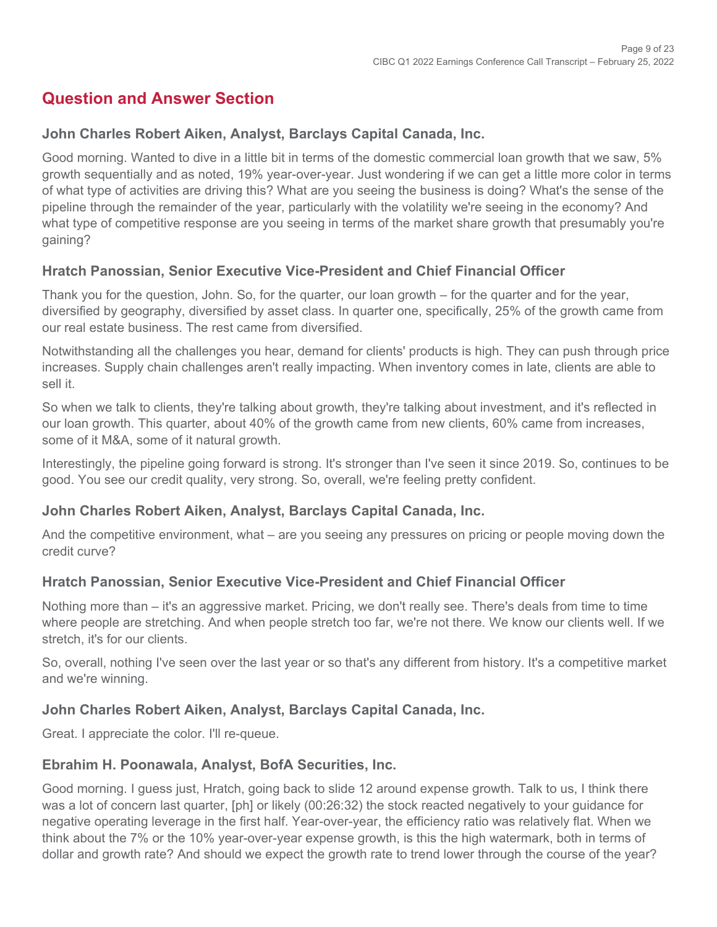## **Question and Answer Section**

#### **John Charles Robert Aiken, Analyst, Barclays Capital Canada, Inc.**

Good morning. Wanted to dive in a little bit in terms of the domestic commercial loan growth that we saw, 5% growth sequentially and as noted, 19% year-over-year. Just wondering if we can get a little more color in terms of what type of activities are driving this? What are you seeing the business is doing? What's the sense of the pipeline through the remainder of the year, particularly with the volatility we're seeing in the economy? And what type of competitive response are you seeing in terms of the market share growth that presumably you're gaining?

#### **Hratch Panossian, Senior Executive Vice-President and Chief Financial Officer**

Thank you for the question, John. So, for the quarter, our loan growth – for the quarter and for the year, diversified by geography, diversified by asset class. In quarter one, specifically, 25% of the growth came from our real estate business. The rest came from diversified.

Notwithstanding all the challenges you hear, demand for clients' products is high. They can push through price increases. Supply chain challenges aren't really impacting. When inventory comes in late, clients are able to sell it.

So when we talk to clients, they're talking about growth, they're talking about investment, and it's reflected in our loan growth. This quarter, about 40% of the growth came from new clients, 60% came from increases, some of it M&A, some of it natural growth.

Interestingly, the pipeline going forward is strong. It's stronger than I've seen it since 2019. So, continues to be good. You see our credit quality, very strong. So, overall, we're feeling pretty confident.

#### **John Charles Robert Aiken, Analyst, Barclays Capital Canada, Inc.**

And the competitive environment, what – are you seeing any pressures on pricing or people moving down the credit curve?

#### **Hratch Panossian, Senior Executive Vice-President and Chief Financial Officer**

Nothing more than – it's an aggressive market. Pricing, we don't really see. There's deals from time to time where people are stretching. And when people stretch too far, we're not there. We know our clients well. If we stretch, it's for our clients.

So, overall, nothing I've seen over the last year or so that's any different from history. It's a competitive market and we're winning.

#### **John Charles Robert Aiken, Analyst, Barclays Capital Canada, Inc.**

Great. I appreciate the color. I'll re-queue.

#### **Ebrahim H. Poonawala, Analyst, BofA Securities, Inc.**

Good morning. I guess just, Hratch, going back to slide 12 around expense growth. Talk to us, I think there was a lot of concern last quarter, [ph] or likely (00:26:32) the stock reacted negatively to your guidance for negative operating leverage in the first half. Year-over-year, the efficiency ratio was relatively flat. When we think about the 7% or the 10% year-over-year expense growth, is this the high watermark, both in terms of dollar and growth rate? And should we expect the growth rate to trend lower through the course of the year?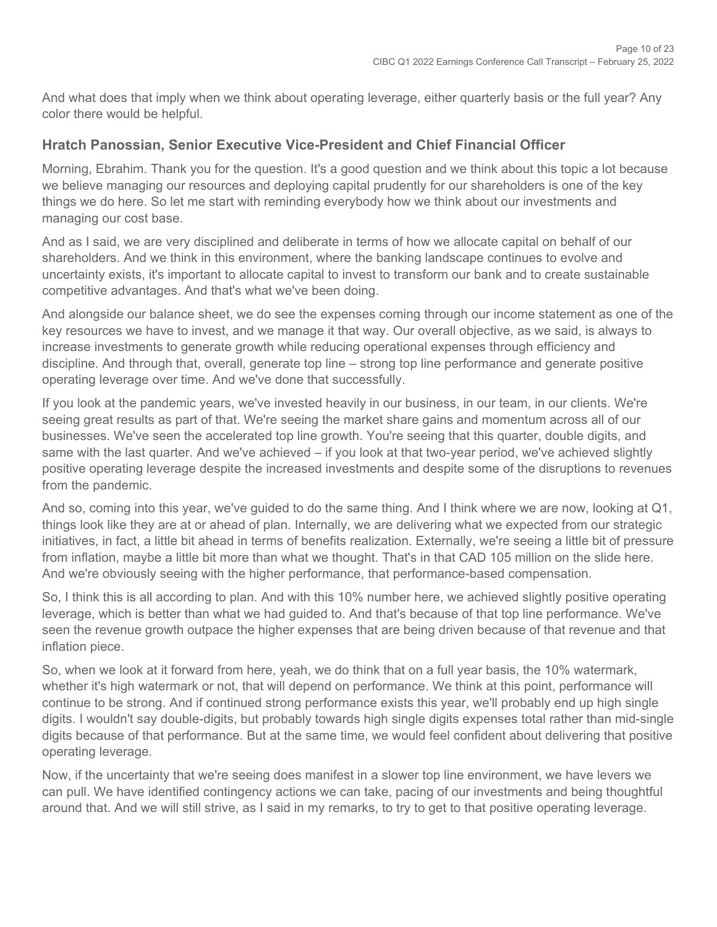And what does that imply when we think about operating leverage, either quarterly basis or the full year? Any color there would be helpful.

#### **Hratch Panossian, Senior Executive Vice-President and Chief Financial Officer**

Morning, Ebrahim. Thank you for the question. It's a good question and we think about this topic a lot because we believe managing our resources and deploying capital prudently for our shareholders is one of the key things we do here. So let me start with reminding everybody how we think about our investments and managing our cost base.

And as I said, we are very disciplined and deliberate in terms of how we allocate capital on behalf of our shareholders. And we think in this environment, where the banking landscape continues to evolve and uncertainty exists, it's important to allocate capital to invest to transform our bank and to create sustainable competitive advantages. And that's what we've been doing.

And alongside our balance sheet, we do see the expenses coming through our income statement as one of the key resources we have to invest, and we manage it that way. Our overall objective, as we said, is always to increase investments to generate growth while reducing operational expenses through efficiency and discipline. And through that, overall, generate top line – strong top line performance and generate positive operating leverage over time. And we've done that successfully.

If you look at the pandemic years, we've invested heavily in our business, in our team, in our clients. We're seeing great results as part of that. We're seeing the market share gains and momentum across all of our businesses. We've seen the accelerated top line growth. You're seeing that this quarter, double digits, and same with the last quarter. And we've achieved – if you look at that two-year period, we've achieved slightly positive operating leverage despite the increased investments and despite some of the disruptions to revenues from the pandemic.

And so, coming into this year, we've guided to do the same thing. And I think where we are now, looking at Q1, things look like they are at or ahead of plan. Internally, we are delivering what we expected from our strategic initiatives, in fact, a little bit ahead in terms of benefits realization. Externally, we're seeing a little bit of pressure from inflation, maybe a little bit more than what we thought. That's in that CAD 105 million on the slide here. And we're obviously seeing with the higher performance, that performance-based compensation.

So, I think this is all according to plan. And with this 10% number here, we achieved slightly positive operating leverage, which is better than what we had guided to. And that's because of that top line performance. We've seen the revenue growth outpace the higher expenses that are being driven because of that revenue and that inflation piece.

So, when we look at it forward from here, yeah, we do think that on a full year basis, the 10% watermark, whether it's high watermark or not, that will depend on performance. We think at this point, performance will continue to be strong. And if continued strong performance exists this year, we'll probably end up high single digits. I wouldn't say double-digits, but probably towards high single digits expenses total rather than mid-single digits because of that performance. But at the same time, we would feel confident about delivering that positive operating leverage.

Now, if the uncertainty that we're seeing does manifest in a slower top line environment, we have levers we can pull. We have identified contingency actions we can take, pacing of our investments and being thoughtful around that. And we will still strive, as I said in my remarks, to try to get to that positive operating leverage.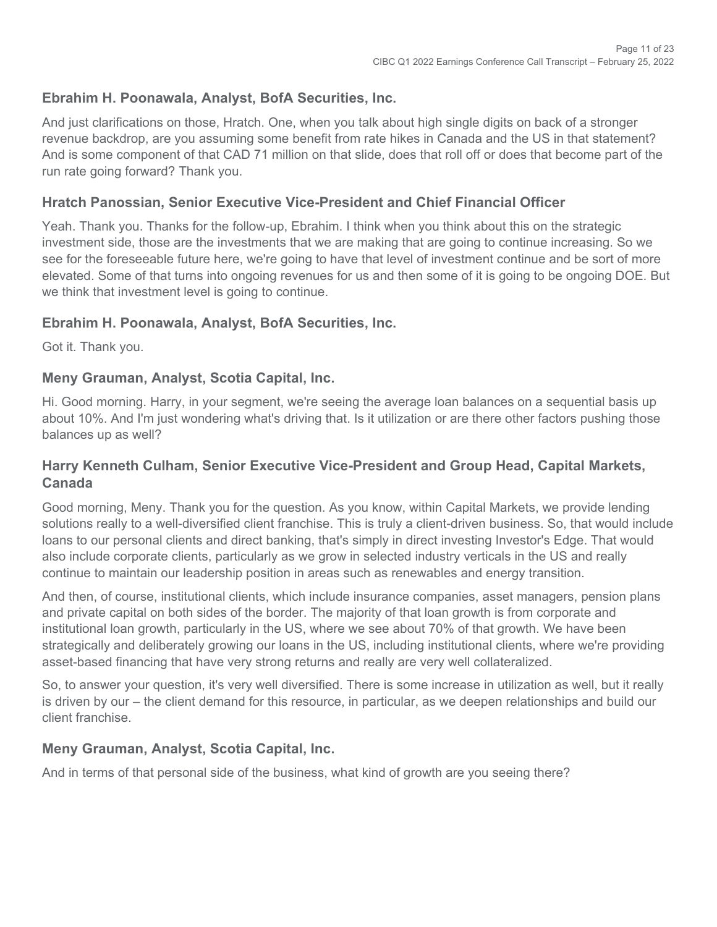#### **Ebrahim H. Poonawala, Analyst, BofA Securities, Inc.**

And just clarifications on those, Hratch. One, when you talk about high single digits on back of a stronger revenue backdrop, are you assuming some benefit from rate hikes in Canada and the US in that statement? And is some component of that CAD 71 million on that slide, does that roll off or does that become part of the run rate going forward? Thank you.

#### **Hratch Panossian, Senior Executive Vice-President and Chief Financial Officer**

Yeah. Thank you. Thanks for the follow-up, Ebrahim. I think when you think about this on the strategic investment side, those are the investments that we are making that are going to continue increasing. So we see for the foreseeable future here, we're going to have that level of investment continue and be sort of more elevated. Some of that turns into ongoing revenues for us and then some of it is going to be ongoing DOE. But we think that investment level is going to continue.

#### **Ebrahim H. Poonawala, Analyst, BofA Securities, Inc.**

Got it. Thank you.

#### **Meny Grauman, Analyst, Scotia Capital, Inc.**

Hi. Good morning. Harry, in your segment, we're seeing the average loan balances on a sequential basis up about 10%. And I'm just wondering what's driving that. Is it utilization or are there other factors pushing those balances up as well?

#### **Harry Kenneth Culham, Senior Executive Vice-President and Group Head, Capital Markets, Canada**

Good morning, Meny. Thank you for the question. As you know, within Capital Markets, we provide lending solutions really to a well-diversified client franchise. This is truly a client-driven business. So, that would include loans to our personal clients and direct banking, that's simply in direct investing Investor's Edge. That would also include corporate clients, particularly as we grow in selected industry verticals in the US and really continue to maintain our leadership position in areas such as renewables and energy transition.

And then, of course, institutional clients, which include insurance companies, asset managers, pension plans and private capital on both sides of the border. The majority of that loan growth is from corporate and institutional loan growth, particularly in the US, where we see about 70% of that growth. We have been strategically and deliberately growing our loans in the US, including institutional clients, where we're providing asset-based financing that have very strong returns and really are very well collateralized.

So, to answer your question, it's very well diversified. There is some increase in utilization as well, but it really is driven by our – the client demand for this resource, in particular, as we deepen relationships and build our client franchise.

#### **Meny Grauman, Analyst, Scotia Capital, Inc.**

And in terms of that personal side of the business, what kind of growth are you seeing there?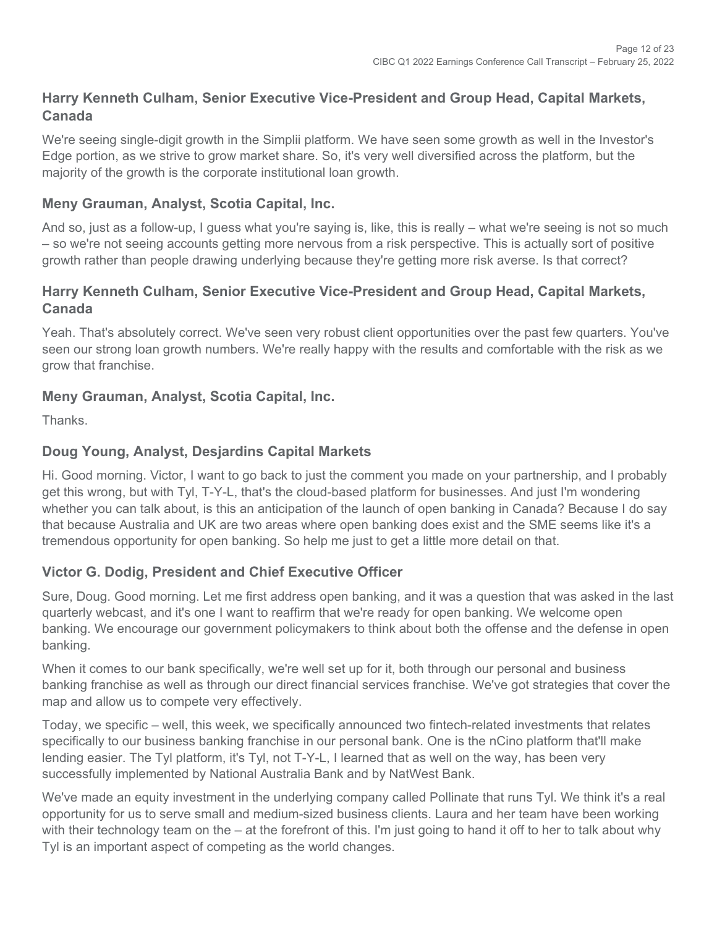## **Harry Kenneth Culham, Senior Executive Vice-President and Group Head, Capital Markets, Canada**

We're seeing single-digit growth in the Simplii platform. We have seen some growth as well in the Investor's Edge portion, as we strive to grow market share. So, it's very well diversified across the platform, but the majority of the growth is the corporate institutional loan growth.

#### **Meny Grauman, Analyst, Scotia Capital, Inc.**

And so, just as a follow-up, I guess what you're saying is, like, this is really – what we're seeing is not so much – so we're not seeing accounts getting more nervous from a risk perspective. This is actually sort of positive growth rather than people drawing underlying because they're getting more risk averse. Is that correct?

#### **Harry Kenneth Culham, Senior Executive Vice-President and Group Head, Capital Markets, Canada**

Yeah. That's absolutely correct. We've seen very robust client opportunities over the past few quarters. You've seen our strong loan growth numbers. We're really happy with the results and comfortable with the risk as we grow that franchise.

## **Meny Grauman, Analyst, Scotia Capital, Inc.**

**Thanks** 

## **Doug Young, Analyst, Desjardins Capital Markets**

Hi. Good morning. Victor, I want to go back to just the comment you made on your partnership, and I probably get this wrong, but with Tyl, T-Y-L, that's the cloud-based platform for businesses. And just I'm wondering whether you can talk about, is this an anticipation of the launch of open banking in Canada? Because I do say that because Australia and UK are two areas where open banking does exist and the SME seems like it's a tremendous opportunity for open banking. So help me just to get a little more detail on that.

## **Victor G. Dodig, President and Chief Executive Officer**

Sure, Doug. Good morning. Let me first address open banking, and it was a question that was asked in the last quarterly webcast, and it's one I want to reaffirm that we're ready for open banking. We welcome open banking. We encourage our government policymakers to think about both the offense and the defense in open banking.

When it comes to our bank specifically, we're well set up for it, both through our personal and business banking franchise as well as through our direct financial services franchise. We've got strategies that cover the map and allow us to compete very effectively.

Today, we specific – well, this week, we specifically announced two fintech-related investments that relates specifically to our business banking franchise in our personal bank. One is the nCino platform that'll make lending easier. The Tyl platform, it's Tyl, not T-Y-L, I learned that as well on the way, has been very successfully implemented by National Australia Bank and by NatWest Bank.

We've made an equity investment in the underlying company called Pollinate that runs Tyl. We think it's a real opportunity for us to serve small and medium-sized business clients. Laura and her team have been working with their technology team on the – at the forefront of this. I'm just going to hand it off to her to talk about why Tyl is an important aspect of competing as the world changes.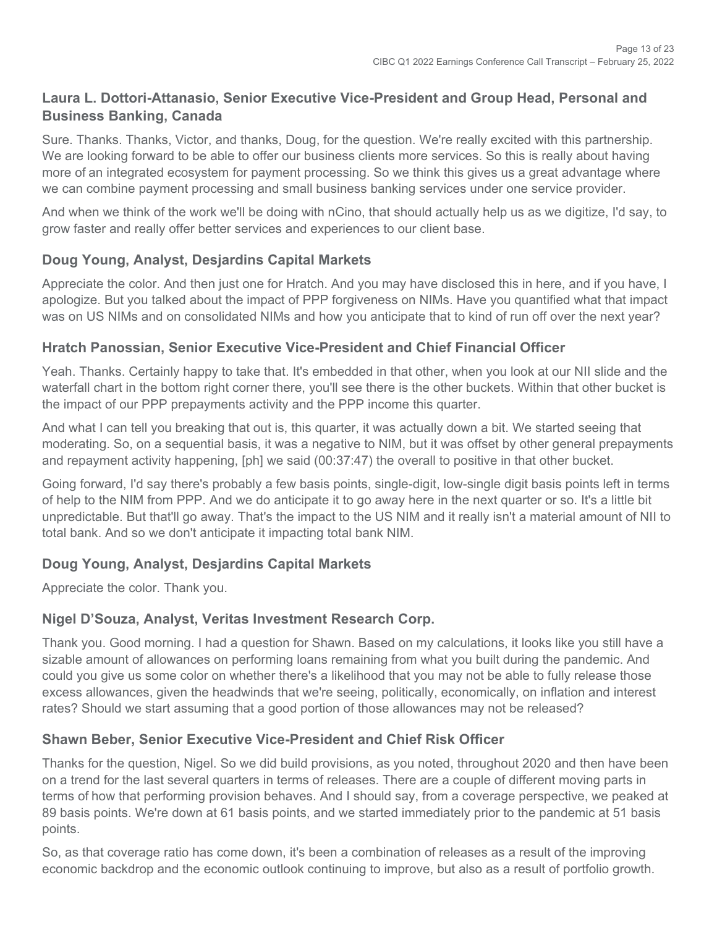## **Laura L. Dottori-Attanasio, Senior Executive Vice-President and Group Head, Personal and Business Banking, Canada**

Sure. Thanks. Thanks, Victor, and thanks, Doug, for the question. We're really excited with this partnership. We are looking forward to be able to offer our business clients more services. So this is really about having more of an integrated ecosystem for payment processing. So we think this gives us a great advantage where we can combine payment processing and small business banking services under one service provider.

And when we think of the work we'll be doing with nCino, that should actually help us as we digitize, I'd say, to grow faster and really offer better services and experiences to our client base.

## **Doug Young, Analyst, Desjardins Capital Markets**

Appreciate the color. And then just one for Hratch. And you may have disclosed this in here, and if you have, I apologize. But you talked about the impact of PPP forgiveness on NIMs. Have you quantified what that impact was on US NIMs and on consolidated NIMs and how you anticipate that to kind of run off over the next year?

#### **Hratch Panossian, Senior Executive Vice-President and Chief Financial Officer**

Yeah. Thanks. Certainly happy to take that. It's embedded in that other, when you look at our NII slide and the waterfall chart in the bottom right corner there, you'll see there is the other buckets. Within that other bucket is the impact of our PPP prepayments activity and the PPP income this quarter.

And what I can tell you breaking that out is, this quarter, it was actually down a bit. We started seeing that moderating. So, on a sequential basis, it was a negative to NIM, but it was offset by other general prepayments and repayment activity happening, [ph] we said (00:37:47) the overall to positive in that other bucket.

Going forward, I'd say there's probably a few basis points, single-digit, low-single digit basis points left in terms of help to the NIM from PPP. And we do anticipate it to go away here in the next quarter or so. It's a little bit unpredictable. But that'll go away. That's the impact to the US NIM and it really isn't a material amount of NII to total bank. And so we don't anticipate it impacting total bank NIM.

## **Doug Young, Analyst, Desjardins Capital Markets**

Appreciate the color. Thank you.

#### **Nigel D'Souza, Analyst, Veritas Investment Research Corp.**

Thank you. Good morning. I had a question for Shawn. Based on my calculations, it looks like you still have a sizable amount of allowances on performing loans remaining from what you built during the pandemic. And could you give us some color on whether there's a likelihood that you may not be able to fully release those excess allowances, given the headwinds that we're seeing, politically, economically, on inflation and interest rates? Should we start assuming that a good portion of those allowances may not be released?

#### **Shawn Beber, Senior Executive Vice-President and Chief Risk Officer**

Thanks for the question, Nigel. So we did build provisions, as you noted, throughout 2020 and then have been on a trend for the last several quarters in terms of releases. There are a couple of different moving parts in terms of how that performing provision behaves. And I should say, from a coverage perspective, we peaked at 89 basis points. We're down at 61 basis points, and we started immediately prior to the pandemic at 51 basis points.

So, as that coverage ratio has come down, it's been a combination of releases as a result of the improving economic backdrop and the economic outlook continuing to improve, but also as a result of portfolio growth.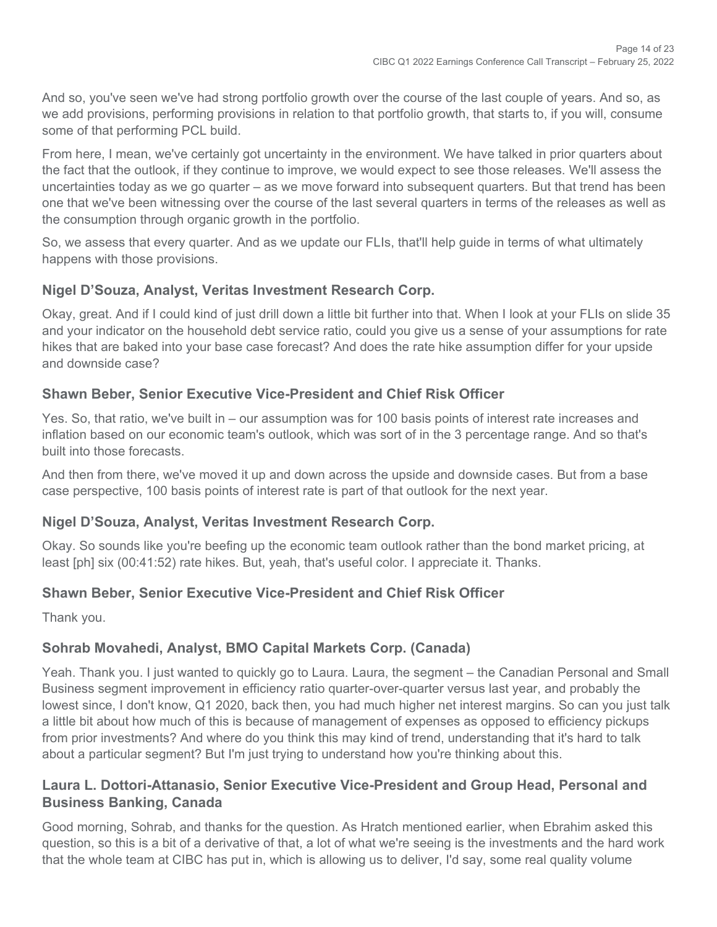And so, you've seen we've had strong portfolio growth over the course of the last couple of years. And so, as we add provisions, performing provisions in relation to that portfolio growth, that starts to, if you will, consume some of that performing PCL build.

From here, I mean, we've certainly got uncertainty in the environment. We have talked in prior quarters about the fact that the outlook, if they continue to improve, we would expect to see those releases. We'll assess the uncertainties today as we go quarter – as we move forward into subsequent quarters. But that trend has been one that we've been witnessing over the course of the last several quarters in terms of the releases as well as the consumption through organic growth in the portfolio.

So, we assess that every quarter. And as we update our FLIs, that'll help guide in terms of what ultimately happens with those provisions.

#### **Nigel D'Souza, Analyst, Veritas Investment Research Corp.**

Okay, great. And if I could kind of just drill down a little bit further into that. When I look at your FLIs on slide 35 and your indicator on the household debt service ratio, could you give us a sense of your assumptions for rate hikes that are baked into your base case forecast? And does the rate hike assumption differ for your upside and downside case?

#### **Shawn Beber, Senior Executive Vice-President and Chief Risk Officer**

Yes. So, that ratio, we've built in – our assumption was for 100 basis points of interest rate increases and inflation based on our economic team's outlook, which was sort of in the 3 percentage range. And so that's built into those forecasts.

And then from there, we've moved it up and down across the upside and downside cases. But from a base case perspective, 100 basis points of interest rate is part of that outlook for the next year.

#### **Nigel D'Souza, Analyst, Veritas Investment Research Corp.**

Okay. So sounds like you're beefing up the economic team outlook rather than the bond market pricing, at least [ph] six (00:41:52) rate hikes. But, yeah, that's useful color. I appreciate it. Thanks.

#### **Shawn Beber, Senior Executive Vice-President and Chief Risk Officer**

Thank you.

#### **Sohrab Movahedi, Analyst, BMO Capital Markets Corp. (Canada)**

Yeah. Thank you. I just wanted to quickly go to Laura. Laura, the segment – the Canadian Personal and Small Business segment improvement in efficiency ratio quarter-over-quarter versus last year, and probably the lowest since, I don't know, Q1 2020, back then, you had much higher net interest margins. So can you just talk a little bit about how much of this is because of management of expenses as opposed to efficiency pickups from prior investments? And where do you think this may kind of trend, understanding that it's hard to talk about a particular segment? But I'm just trying to understand how you're thinking about this.

#### **Laura L. Dottori-Attanasio, Senior Executive Vice-President and Group Head, Personal and Business Banking, Canada**

Good morning, Sohrab, and thanks for the question. As Hratch mentioned earlier, when Ebrahim asked this question, so this is a bit of a derivative of that, a lot of what we're seeing is the investments and the hard work that the whole team at CIBC has put in, which is allowing us to deliver, I'd say, some real quality volume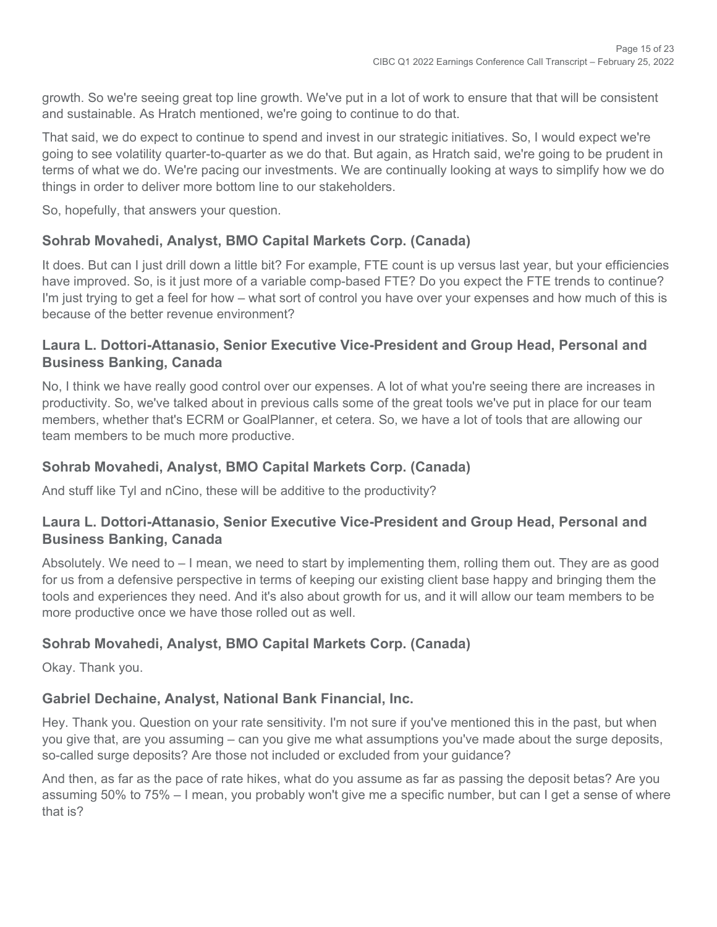growth. So we're seeing great top line growth. We've put in a lot of work to ensure that that will be consistent and sustainable. As Hratch mentioned, we're going to continue to do that.

That said, we do expect to continue to spend and invest in our strategic initiatives. So, I would expect we're going to see volatility quarter-to-quarter as we do that. But again, as Hratch said, we're going to be prudent in terms of what we do. We're pacing our investments. We are continually looking at ways to simplify how we do things in order to deliver more bottom line to our stakeholders.

So, hopefully, that answers your question.

## **Sohrab Movahedi, Analyst, BMO Capital Markets Corp. (Canada)**

It does. But can I just drill down a little bit? For example, FTE count is up versus last year, but your efficiencies have improved. So, is it just more of a variable comp-based FTE? Do you expect the FTE trends to continue? I'm just trying to get a feel for how – what sort of control you have over your expenses and how much of this is because of the better revenue environment?

#### **Laura L. Dottori-Attanasio, Senior Executive Vice-President and Group Head, Personal and Business Banking, Canada**

No, I think we have really good control over our expenses. A lot of what you're seeing there are increases in productivity. So, we've talked about in previous calls some of the great tools we've put in place for our team members, whether that's ECRM or GoalPlanner, et cetera. So, we have a lot of tools that are allowing our team members to be much more productive.

#### **Sohrab Movahedi, Analyst, BMO Capital Markets Corp. (Canada)**

And stuff like Tyl and nCino, these will be additive to the productivity?

#### **Laura L. Dottori-Attanasio, Senior Executive Vice-President and Group Head, Personal and Business Banking, Canada**

Absolutely. We need to – I mean, we need to start by implementing them, rolling them out. They are as good for us from a defensive perspective in terms of keeping our existing client base happy and bringing them the tools and experiences they need. And it's also about growth for us, and it will allow our team members to be more productive once we have those rolled out as well.

## **Sohrab Movahedi, Analyst, BMO Capital Markets Corp. (Canada)**

Okay. Thank you.

#### **Gabriel Dechaine, Analyst, National Bank Financial, Inc.**

Hey. Thank you. Question on your rate sensitivity. I'm not sure if you've mentioned this in the past, but when you give that, are you assuming – can you give me what assumptions you've made about the surge deposits, so-called surge deposits? Are those not included or excluded from your guidance?

And then, as far as the pace of rate hikes, what do you assume as far as passing the deposit betas? Are you assuming 50% to 75% – I mean, you probably won't give me a specific number, but can I get a sense of where that is?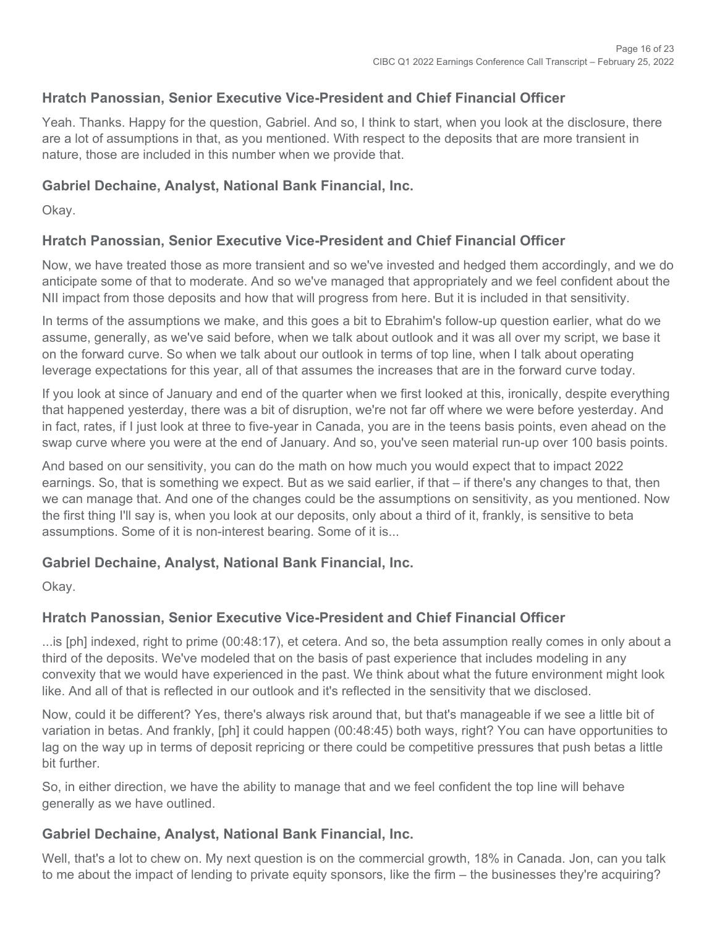## **Hratch Panossian, Senior Executive Vice-President and Chief Financial Officer**

Yeah. Thanks. Happy for the question, Gabriel. And so, I think to start, when you look at the disclosure, there are a lot of assumptions in that, as you mentioned. With respect to the deposits that are more transient in nature, those are included in this number when we provide that.

#### **Gabriel Dechaine, Analyst, National Bank Financial, Inc.**

Okay.

#### **Hratch Panossian, Senior Executive Vice-President and Chief Financial Officer**

Now, we have treated those as more transient and so we've invested and hedged them accordingly, and we do anticipate some of that to moderate. And so we've managed that appropriately and we feel confident about the NII impact from those deposits and how that will progress from here. But it is included in that sensitivity.

In terms of the assumptions we make, and this goes a bit to Ebrahim's follow-up question earlier, what do we assume, generally, as we've said before, when we talk about outlook and it was all over my script, we base it on the forward curve. So when we talk about our outlook in terms of top line, when I talk about operating leverage expectations for this year, all of that assumes the increases that are in the forward curve today.

If you look at since of January and end of the quarter when we first looked at this, ironically, despite everything that happened yesterday, there was a bit of disruption, we're not far off where we were before yesterday. And in fact, rates, if I just look at three to five-year in Canada, you are in the teens basis points, even ahead on the swap curve where you were at the end of January. And so, you've seen material run-up over 100 basis points.

And based on our sensitivity, you can do the math on how much you would expect that to impact 2022 earnings. So, that is something we expect. But as we said earlier, if that – if there's any changes to that, then we can manage that. And one of the changes could be the assumptions on sensitivity, as you mentioned. Now the first thing I'll say is, when you look at our deposits, only about a third of it, frankly, is sensitive to beta assumptions. Some of it is non-interest bearing. Some of it is...

#### **Gabriel Dechaine, Analyst, National Bank Financial, Inc.**

Okay.

#### **Hratch Panossian, Senior Executive Vice-President and Chief Financial Officer**

...is [ph] indexed, right to prime (00:48:17), et cetera. And so, the beta assumption really comes in only about a third of the deposits. We've modeled that on the basis of past experience that includes modeling in any convexity that we would have experienced in the past. We think about what the future environment might look like. And all of that is reflected in our outlook and it's reflected in the sensitivity that we disclosed.

Now, could it be different? Yes, there's always risk around that, but that's manageable if we see a little bit of variation in betas. And frankly, [ph] it could happen (00:48:45) both ways, right? You can have opportunities to lag on the way up in terms of deposit repricing or there could be competitive pressures that push betas a little bit further.

So, in either direction, we have the ability to manage that and we feel confident the top line will behave generally as we have outlined.

#### **Gabriel Dechaine, Analyst, National Bank Financial, Inc.**

Well, that's a lot to chew on. My next question is on the commercial growth, 18% in Canada. Jon, can you talk to me about the impact of lending to private equity sponsors, like the firm – the businesses they're acquiring?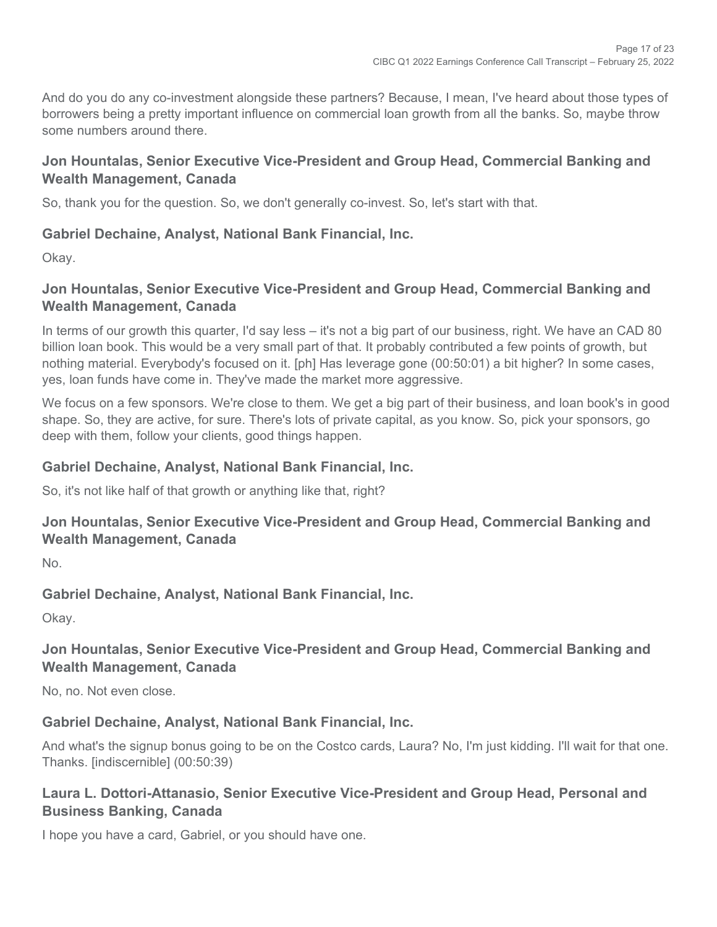And do you do any co-investment alongside these partners? Because, I mean, I've heard about those types of borrowers being a pretty important influence on commercial loan growth from all the banks. So, maybe throw some numbers around there.

## **Jon Hountalas, Senior Executive Vice-President and Group Head, Commercial Banking and Wealth Management, Canada**

So, thank you for the question. So, we don't generally co-invest. So, let's start with that.

## **Gabriel Dechaine, Analyst, National Bank Financial, Inc.**

Okay.

## **Jon Hountalas, Senior Executive Vice-President and Group Head, Commercial Banking and Wealth Management, Canada**

In terms of our growth this quarter, I'd say less – it's not a big part of our business, right. We have an CAD 80 billion loan book. This would be a very small part of that. It probably contributed a few points of growth, but nothing material. Everybody's focused on it. [ph] Has leverage gone (00:50:01) a bit higher? In some cases, yes, loan funds have come in. They've made the market more aggressive.

We focus on a few sponsors. We're close to them. We get a big part of their business, and loan book's in good shape. So, they are active, for sure. There's lots of private capital, as you know. So, pick your sponsors, go deep with them, follow your clients, good things happen.

## **Gabriel Dechaine, Analyst, National Bank Financial, Inc.**

So, it's not like half of that growth or anything like that, right?

## **Jon Hountalas, Senior Executive Vice-President and Group Head, Commercial Banking and Wealth Management, Canada**

 $N<sub>0</sub>$ 

## **Gabriel Dechaine, Analyst, National Bank Financial, Inc.**

Okay.

## **Jon Hountalas, Senior Executive Vice-President and Group Head, Commercial Banking and Wealth Management, Canada**

No, no. Not even close.

## **Gabriel Dechaine, Analyst, National Bank Financial, Inc.**

And what's the signup bonus going to be on the Costco cards, Laura? No, I'm just kidding. I'll wait for that one. Thanks. [indiscernible] (00:50:39)

#### **Laura L. Dottori-Attanasio, Senior Executive Vice-President and Group Head, Personal and Business Banking, Canada**

I hope you have a card, Gabriel, or you should have one.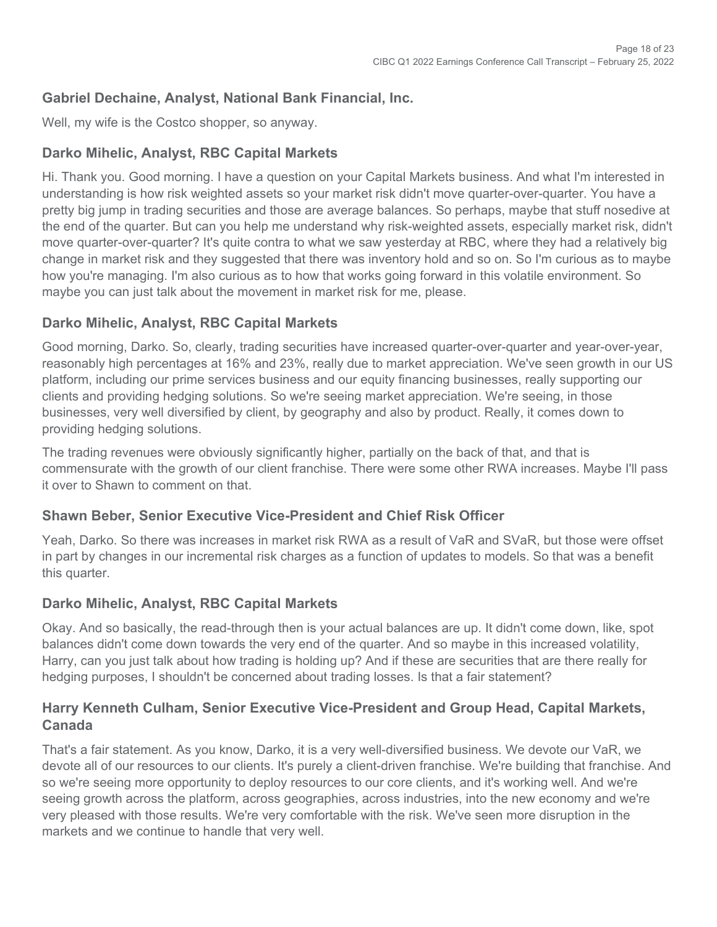## **Gabriel Dechaine, Analyst, National Bank Financial, Inc.**

Well, my wife is the Costco shopper, so anyway.

## **Darko Mihelic, Analyst, RBC Capital Markets**

Hi. Thank you. Good morning. I have a question on your Capital Markets business. And what I'm interested in understanding is how risk weighted assets so your market risk didn't move quarter-over-quarter. You have a pretty big jump in trading securities and those are average balances. So perhaps, maybe that stuff nosedive at the end of the quarter. But can you help me understand why risk-weighted assets, especially market risk, didn't move quarter-over-quarter? It's quite contra to what we saw yesterday at RBC, where they had a relatively big change in market risk and they suggested that there was inventory hold and so on. So I'm curious as to maybe how you're managing. I'm also curious as to how that works going forward in this volatile environment. So maybe you can just talk about the movement in market risk for me, please.

## **Darko Mihelic, Analyst, RBC Capital Markets**

Good morning, Darko. So, clearly, trading securities have increased quarter-over-quarter and year-over-year, reasonably high percentages at 16% and 23%, really due to market appreciation. We've seen growth in our US platform, including our prime services business and our equity financing businesses, really supporting our clients and providing hedging solutions. So we're seeing market appreciation. We're seeing, in those businesses, very well diversified by client, by geography and also by product. Really, it comes down to providing hedging solutions.

The trading revenues were obviously significantly higher, partially on the back of that, and that is commensurate with the growth of our client franchise. There were some other RWA increases. Maybe I'll pass it over to Shawn to comment on that.

#### **Shawn Beber, Senior Executive Vice-President and Chief Risk Officer**

Yeah, Darko. So there was increases in market risk RWA as a result of VaR and SVaR, but those were offset in part by changes in our incremental risk charges as a function of updates to models. So that was a benefit this quarter.

## **Darko Mihelic, Analyst, RBC Capital Markets**

Okay. And so basically, the read-through then is your actual balances are up. It didn't come down, like, spot balances didn't come down towards the very end of the quarter. And so maybe in this increased volatility, Harry, can you just talk about how trading is holding up? And if these are securities that are there really for hedging purposes, I shouldn't be concerned about trading losses. Is that a fair statement?

#### **Harry Kenneth Culham, Senior Executive Vice-President and Group Head, Capital Markets, Canada**

That's a fair statement. As you know, Darko, it is a very well-diversified business. We devote our VaR, we devote all of our resources to our clients. It's purely a client-driven franchise. We're building that franchise. And so we're seeing more opportunity to deploy resources to our core clients, and it's working well. And we're seeing growth across the platform, across geographies, across industries, into the new economy and we're very pleased with those results. We're very comfortable with the risk. We've seen more disruption in the markets and we continue to handle that very well.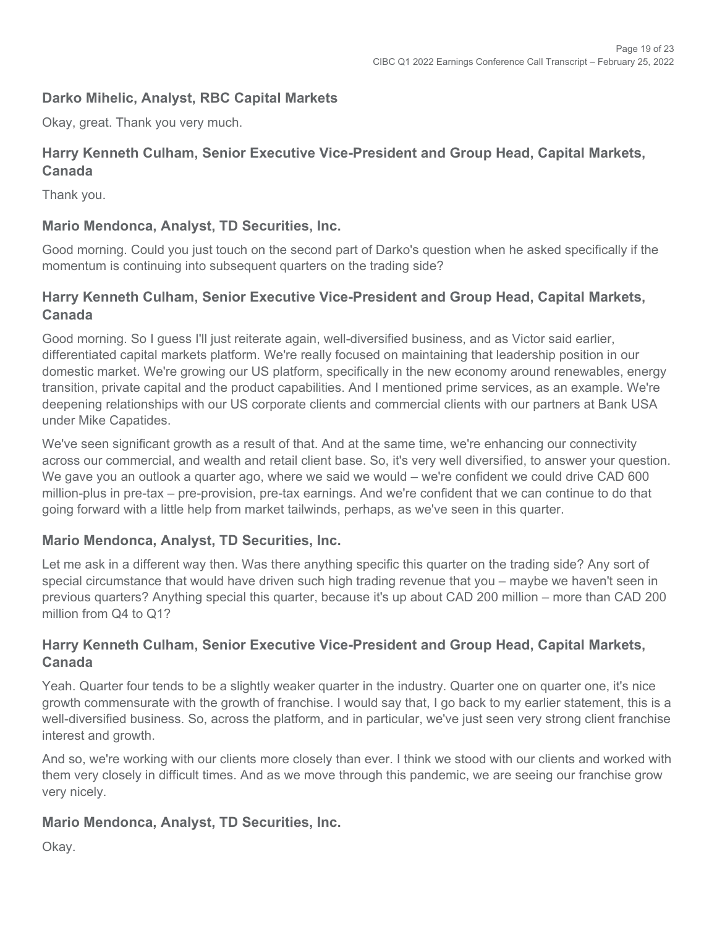## **Darko Mihelic, Analyst, RBC Capital Markets**

Okay, great. Thank you very much.

#### **Harry Kenneth Culham, Senior Executive Vice-President and Group Head, Capital Markets, Canada**

Thank you.

#### **Mario Mendonca, Analyst, TD Securities, Inc.**

Good morning. Could you just touch on the second part of Darko's question when he asked specifically if the momentum is continuing into subsequent quarters on the trading side?

#### **Harry Kenneth Culham, Senior Executive Vice-President and Group Head, Capital Markets, Canada**

Good morning. So I guess I'll just reiterate again, well-diversified business, and as Victor said earlier, differentiated capital markets platform. We're really focused on maintaining that leadership position in our domestic market. We're growing our US platform, specifically in the new economy around renewables, energy transition, private capital and the product capabilities. And I mentioned prime services, as an example. We're deepening relationships with our US corporate clients and commercial clients with our partners at Bank USA under Mike Capatides.

We've seen significant growth as a result of that. And at the same time, we're enhancing our connectivity across our commercial, and wealth and retail client base. So, it's very well diversified, to answer your question. We gave you an outlook a quarter ago, where we said we would – we're confident we could drive CAD 600 million-plus in pre-tax – pre-provision, pre-tax earnings. And we're confident that we can continue to do that going forward with a little help from market tailwinds, perhaps, as we've seen in this quarter.

#### **Mario Mendonca, Analyst, TD Securities, Inc.**

Let me ask in a different way then. Was there anything specific this quarter on the trading side? Any sort of special circumstance that would have driven such high trading revenue that you – maybe we haven't seen in previous quarters? Anything special this quarter, because it's up about CAD 200 million – more than CAD 200 million from Q4 to Q12

#### **Harry Kenneth Culham, Senior Executive Vice-President and Group Head, Capital Markets, Canada**

Yeah. Quarter four tends to be a slightly weaker quarter in the industry. Quarter one on quarter one, it's nice growth commensurate with the growth of franchise. I would say that, I go back to my earlier statement, this is a well-diversified business. So, across the platform, and in particular, we've just seen very strong client franchise interest and growth.

And so, we're working with our clients more closely than ever. I think we stood with our clients and worked with them very closely in difficult times. And as we move through this pandemic, we are seeing our franchise grow very nicely.

#### **Mario Mendonca, Analyst, TD Securities, Inc.**

Okay.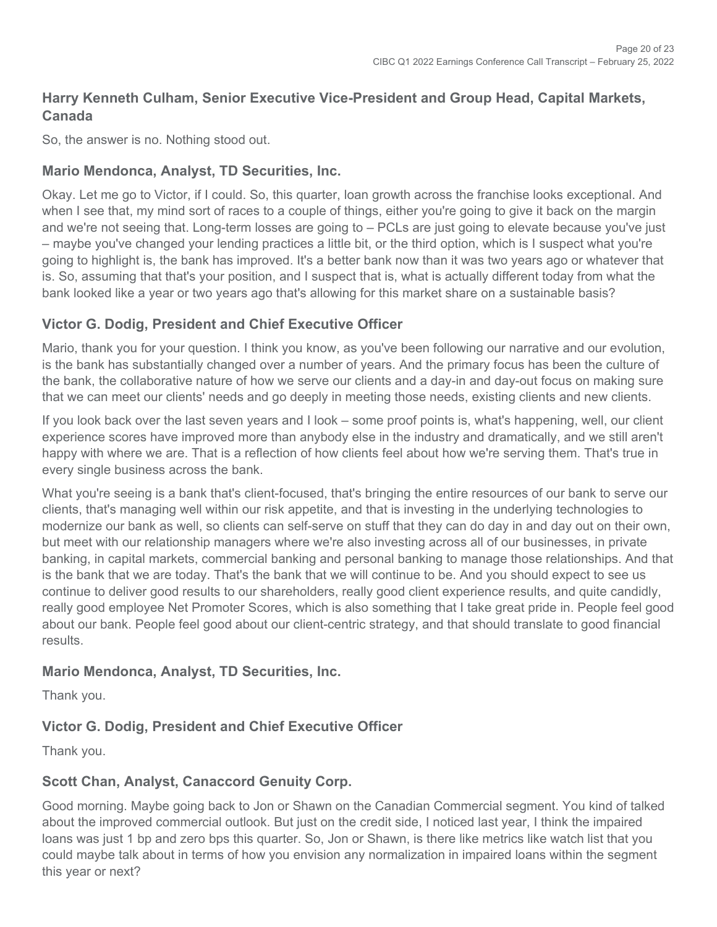## **Harry Kenneth Culham, Senior Executive Vice-President and Group Head, Capital Markets, Canada**

So, the answer is no. Nothing stood out.

#### **Mario Mendonca, Analyst, TD Securities, Inc.**

Okay. Let me go to Victor, if I could. So, this quarter, loan growth across the franchise looks exceptional. And when I see that, my mind sort of races to a couple of things, either you're going to give it back on the margin and we're not seeing that. Long-term losses are going to – PCLs are just going to elevate because you've just – maybe you've changed your lending practices a little bit, or the third option, which is I suspect what you're going to highlight is, the bank has improved. It's a better bank now than it was two years ago or whatever that is. So, assuming that that's your position, and I suspect that is, what is actually different today from what the bank looked like a year or two years ago that's allowing for this market share on a sustainable basis?

#### **Victor G. Dodig, President and Chief Executive Officer**

Mario, thank you for your question. I think you know, as you've been following our narrative and our evolution, is the bank has substantially changed over a number of years. And the primary focus has been the culture of the bank, the collaborative nature of how we serve our clients and a day-in and day-out focus on making sure that we can meet our clients' needs and go deeply in meeting those needs, existing clients and new clients.

If you look back over the last seven years and I look – some proof points is, what's happening, well, our client experience scores have improved more than anybody else in the industry and dramatically, and we still aren't happy with where we are. That is a reflection of how clients feel about how we're serving them. That's true in every single business across the bank.

What you're seeing is a bank that's client-focused, that's bringing the entire resources of our bank to serve our clients, that's managing well within our risk appetite, and that is investing in the underlying technologies to modernize our bank as well, so clients can self-serve on stuff that they can do day in and day out on their own, but meet with our relationship managers where we're also investing across all of our businesses, in private banking, in capital markets, commercial banking and personal banking to manage those relationships. And that is the bank that we are today. That's the bank that we will continue to be. And you should expect to see us continue to deliver good results to our shareholders, really good client experience results, and quite candidly, really good employee Net Promoter Scores, which is also something that I take great pride in. People feel good about our bank. People feel good about our client-centric strategy, and that should translate to good financial results.

#### **Mario Mendonca, Analyst, TD Securities, Inc.**

Thank you.

#### **Victor G. Dodig, President and Chief Executive Officer**

Thank you.

#### **Scott Chan, Analyst, Canaccord Genuity Corp.**

Good morning. Maybe going back to Jon or Shawn on the Canadian Commercial segment. You kind of talked about the improved commercial outlook. But just on the credit side, I noticed last year, I think the impaired loans was just 1 bp and zero bps this quarter. So, Jon or Shawn, is there like metrics like watch list that you could maybe talk about in terms of how you envision any normalization in impaired loans within the segment this year or next?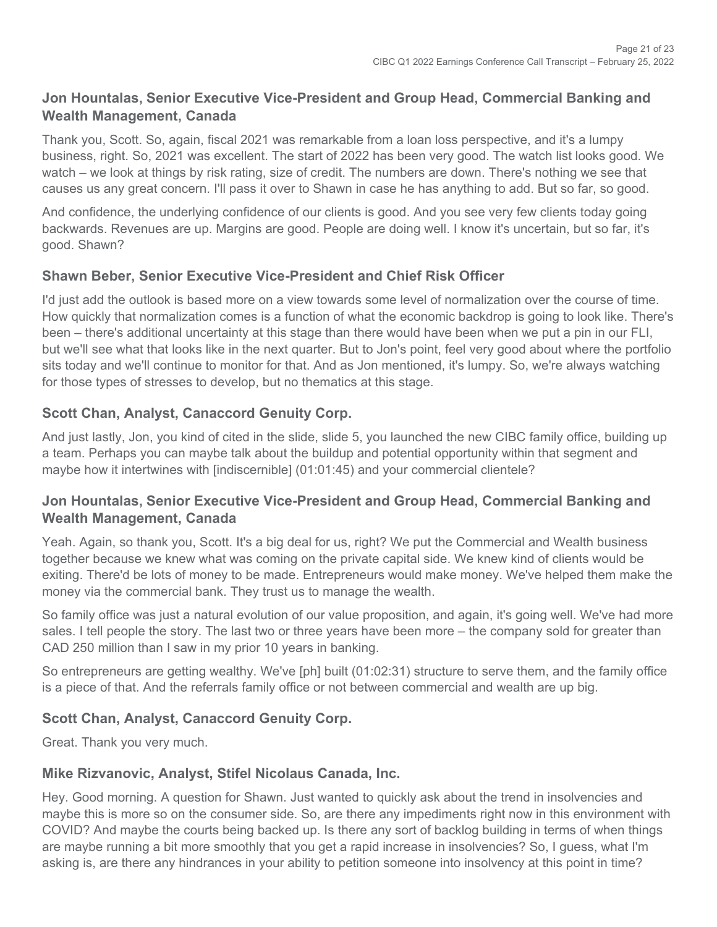## **Jon Hountalas, Senior Executive Vice-President and Group Head, Commercial Banking and Wealth Management, Canada**

Thank you, Scott. So, again, fiscal 2021 was remarkable from a loan loss perspective, and it's a lumpy business, right. So, 2021 was excellent. The start of 2022 has been very good. The watch list looks good. We watch – we look at things by risk rating, size of credit. The numbers are down. There's nothing we see that causes us any great concern. I'll pass it over to Shawn in case he has anything to add. But so far, so good.

And confidence, the underlying confidence of our clients is good. And you see very few clients today going backwards. Revenues are up. Margins are good. People are doing well. I know it's uncertain, but so far, it's good. Shawn?

#### **Shawn Beber, Senior Executive Vice-President and Chief Risk Officer**

I'd just add the outlook is based more on a view towards some level of normalization over the course of time. How quickly that normalization comes is a function of what the economic backdrop is going to look like. There's been – there's additional uncertainty at this stage than there would have been when we put a pin in our FLI, but we'll see what that looks like in the next quarter. But to Jon's point, feel very good about where the portfolio sits today and we'll continue to monitor for that. And as Jon mentioned, it's lumpy. So, we're always watching for those types of stresses to develop, but no thematics at this stage.

#### **Scott Chan, Analyst, Canaccord Genuity Corp.**

And just lastly, Jon, you kind of cited in the slide, slide 5, you launched the new CIBC family office, building up a team. Perhaps you can maybe talk about the buildup and potential opportunity within that segment and maybe how it intertwines with [indiscernible] (01:01:45) and your commercial clientele?

#### **Jon Hountalas, Senior Executive Vice-President and Group Head, Commercial Banking and Wealth Management, Canada**

Yeah. Again, so thank you, Scott. It's a big deal for us, right? We put the Commercial and Wealth business together because we knew what was coming on the private capital side. We knew kind of clients would be exiting. There'd be lots of money to be made. Entrepreneurs would make money. We've helped them make the money via the commercial bank. They trust us to manage the wealth.

So family office was just a natural evolution of our value proposition, and again, it's going well. We've had more sales. I tell people the story. The last two or three years have been more – the company sold for greater than CAD 250 million than I saw in my prior 10 years in banking.

So entrepreneurs are getting wealthy. We've [ph] built (01:02:31) structure to serve them, and the family office is a piece of that. And the referrals family office or not between commercial and wealth are up big.

#### **Scott Chan, Analyst, Canaccord Genuity Corp.**

Great. Thank you very much.

#### **Mike Rizvanovic, Analyst, Stifel Nicolaus Canada, Inc.**

Hey. Good morning. A question for Shawn. Just wanted to quickly ask about the trend in insolvencies and maybe this is more so on the consumer side. So, are there any impediments right now in this environment with COVID? And maybe the courts being backed up. Is there any sort of backlog building in terms of when things are maybe running a bit more smoothly that you get a rapid increase in insolvencies? So, I guess, what I'm asking is, are there any hindrances in your ability to petition someone into insolvency at this point in time?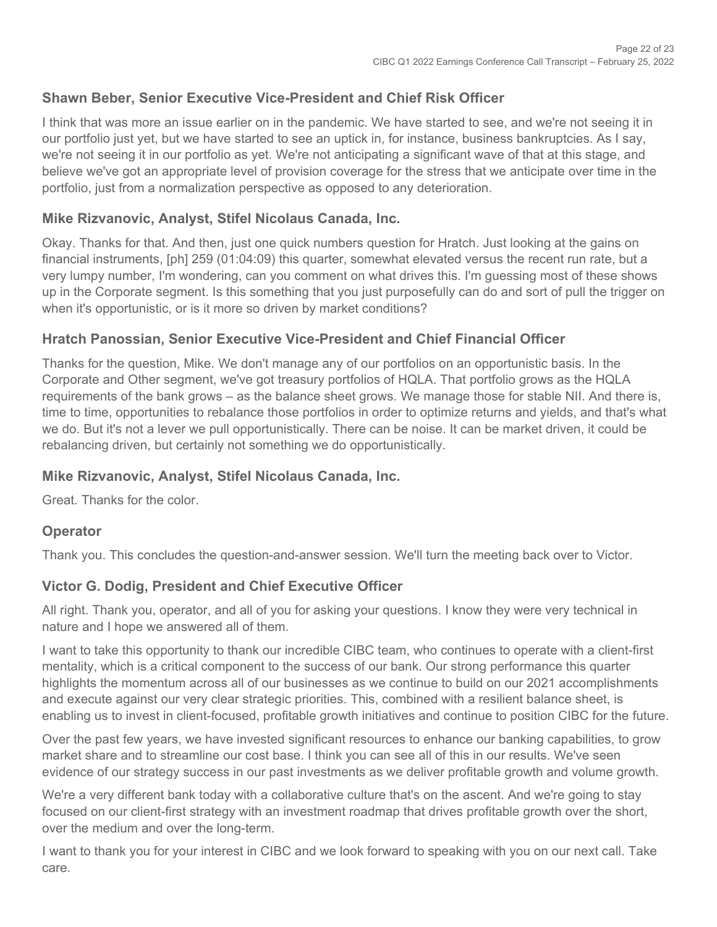## **Shawn Beber, Senior Executive Vice-President and Chief Risk Officer**

I think that was more an issue earlier on in the pandemic. We have started to see, and we're not seeing it in our portfolio just yet, but we have started to see an uptick in, for instance, business bankruptcies. As I say, we're not seeing it in our portfolio as yet. We're not anticipating a significant wave of that at this stage, and believe we've got an appropriate level of provision coverage for the stress that we anticipate over time in the portfolio, just from a normalization perspective as opposed to any deterioration.

#### **Mike Rizvanovic, Analyst, Stifel Nicolaus Canada, Inc.**

Okay. Thanks for that. And then, just one quick numbers question for Hratch. Just looking at the gains on financial instruments, [ph] 259 (01:04:09) this quarter, somewhat elevated versus the recent run rate, but a very lumpy number, I'm wondering, can you comment on what drives this. I'm guessing most of these shows up in the Corporate segment. Is this something that you just purposefully can do and sort of pull the trigger on when it's opportunistic, or is it more so driven by market conditions?

#### **Hratch Panossian, Senior Executive Vice-President and Chief Financial Officer**

Thanks for the question, Mike. We don't manage any of our portfolios on an opportunistic basis. In the Corporate and Other segment, we've got treasury portfolios of HQLA. That portfolio grows as the HQLA requirements of the bank grows – as the balance sheet grows. We manage those for stable NII. And there is, time to time, opportunities to rebalance those portfolios in order to optimize returns and yields, and that's what we do. But it's not a lever we pull opportunistically. There can be noise. It can be market driven, it could be rebalancing driven, but certainly not something we do opportunistically.

#### **Mike Rizvanovic, Analyst, Stifel Nicolaus Canada, Inc.**

Great. Thanks for the color.

#### **Operator**

Thank you. This concludes the question-and-answer session. We'll turn the meeting back over to Victor.

#### **Victor G. Dodig, President and Chief Executive Officer**

All right. Thank you, operator, and all of you for asking your questions. I know they were very technical in nature and I hope we answered all of them.

I want to take this opportunity to thank our incredible CIBC team, who continues to operate with a client-first mentality, which is a critical component to the success of our bank. Our strong performance this quarter highlights the momentum across all of our businesses as we continue to build on our 2021 accomplishments and execute against our very clear strategic priorities. This, combined with a resilient balance sheet, is enabling us to invest in client-focused, profitable growth initiatives and continue to position CIBC for the future.

Over the past few years, we have invested significant resources to enhance our banking capabilities, to grow market share and to streamline our cost base. I think you can see all of this in our results. We've seen evidence of our strategy success in our past investments as we deliver profitable growth and volume growth.

We're a very different bank today with a collaborative culture that's on the ascent. And we're going to stay focused on our client-first strategy with an investment roadmap that drives profitable growth over the short, over the medium and over the long-term.

I want to thank you for your interest in CIBC and we look forward to speaking with you on our next call. Take care.